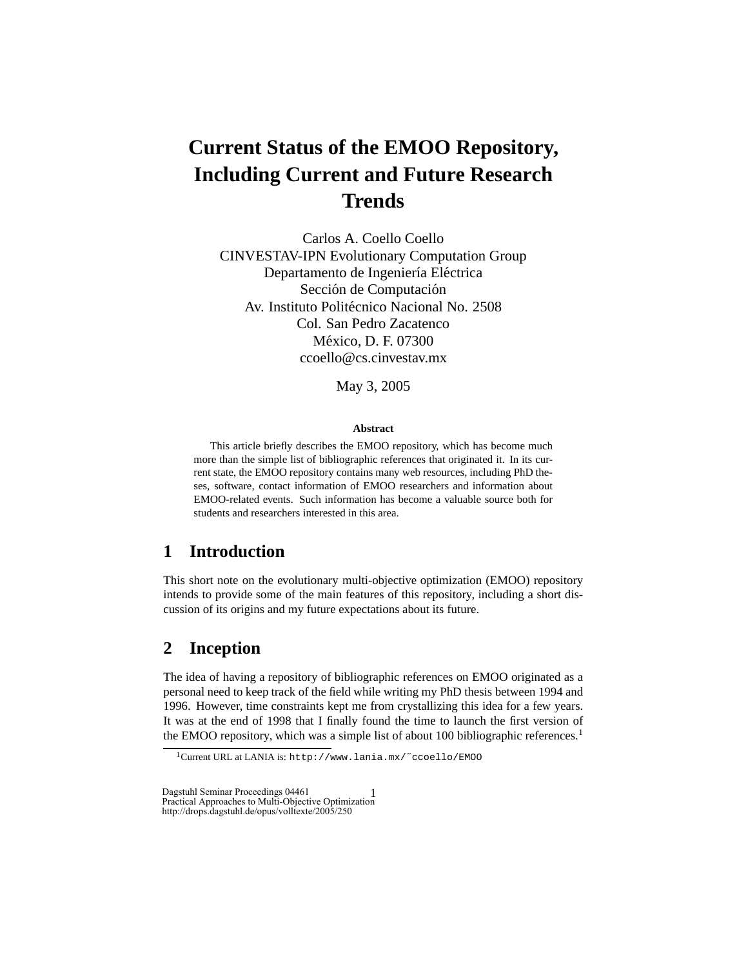# **Current Status of the EMOO Repository, Including Current and Future Research Trends**

Carlos A. Coello Coello CINVESTAV-IPN Evolutionary Computation Group Departamento de Ingeniería Eléctrica Sección de Computación Av. Instituto Politécnico Nacional No. 2508 Col. San Pedro Zacatenco México, D. F. 07300 ccoello@cs.cinvestav.mx

May 3, 2005

#### **Abstract**

This article briefly describes the EMOO repository, which has become much more than the simple list of bibliographic references that originated it. In its current state, the EMOO repository contains many web resources, including PhD theses, software, contact information of EMOO researchers and information about EMOO-related events. Such information has become a valuable source both for students and researchers interested in this area.

# **1 Introduction**

This short note on the evolutionary multi-objective optimization (EMOO) repository intends to provide some of the main features of this repository, including a short discussion of its origins and my future expectations about its future.

# **2 Inception**

The idea of having a repository of bibliographic references on EMOO originated as a personal need to keep track of the field while writing my PhD thesis between 1994 and 1996. However, time constraints kept me from crystallizing this idea for a few years. It was at the end of 1998 that I finally found the time to launch the first version of the EMOO repository, which was a simple list of about 100 bibliographic references.<sup>1</sup>

Dagstuhl Seminar Proceedings 04461 Practical Approaches to Multi-Objective Optimization http://drops.dagstuhl.de/opus/volltexte/2005/250

<sup>1</sup>Current URL at LANIA is: http://www.lania.mx/˜ccoello/EMOO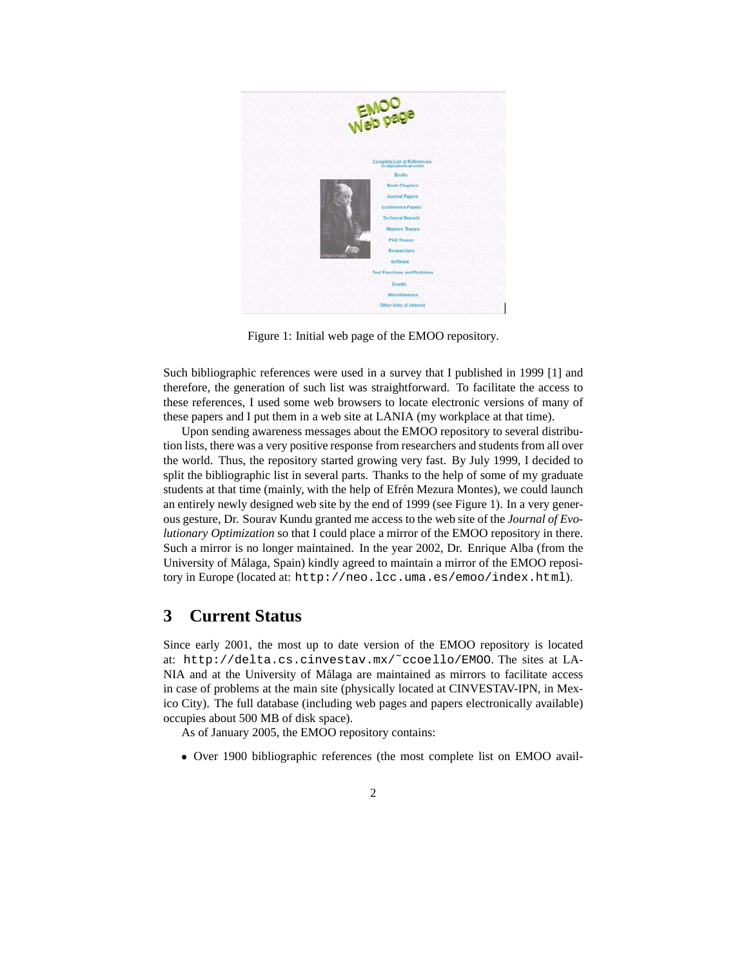

Figure 1: Initial web page of the EMOO repository.

Such bibliographic references were used in a survey that I published in 1999 [1] and therefore, the generation of such list was straightforward. To facilitate the access to these references, I used some web browsers to locate electronic versions of many of these papers and I put them in a web site at LANIA (my workplace at that time).

Upon sending awareness messages about the EMOO repository to several distribution lists, there was a very positive response from researchers and students from all over the world. Thus, the repository started growing very fast. By July 1999, I decided to split the bibliographic list in several parts. Thanks to the help of some of my graduate students at that time (mainly, with the help of Efrén Mezura Montes), we could launch an entirely newly designed web site by the end of 1999 (see Figure 1). In a very generous gesture, Dr. Sourav Kundu granted me access to the web site of the *Journal of Evolutionary Optimization* so that I could place a mirror of the EMOO repository in there. Such a mirror is no longer maintained. In the year 2002, Dr. Enrique Alba (from the University of Málaga, Spain) kindly agreed to maintain a mirror of the EMOO repository in Europe (located at: http://neo.lcc.uma.es/emoo/index.html).

# **3 Current Status**

Since early 2001, the most up to date version of the EMOO repository is located at: http://delta.cs.cinvestav.mx/˜ccoello/EMOO. The sites at LA-NIA and at the University of Málaga are maintained as mirrors to facilitate access in case of problems at the main site (physically located at CINVESTAV-IPN, in Mexico City). The full database (including web pages and papers electronically available) occupies about 500 MB of disk space).

As of January 2005, the EMOO repository contains:

Over 1900 bibliographic references (the most complete list on EMOO avail-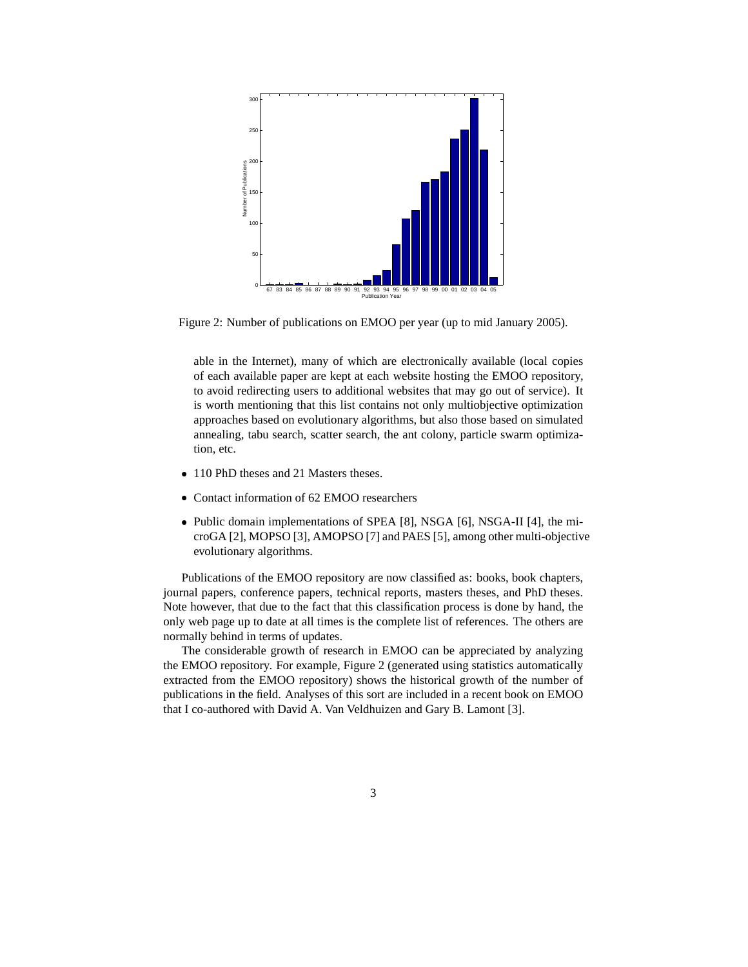

Figure 2: Number of publications on EMOO per year (up to mid January 2005).

able in the Internet), many of which are electronically available (local copies of each available paper are kept at each website hosting the EMOO repository, to avoid redirecting users to additional websites that may go out of service). It is worth mentioning that this list contains not only multiobjective optimization approaches based on evolutionary algorithms, but also those based on simulated annealing, tabu search, scatter search, the ant colony, particle swarm optimization, etc.

- 110 PhD theses and 21 Masters theses.
- Contact information of 62 EMOO researchers
- Public domain implementations of SPEA [8], NSGA [6], NSGA-II [4], the microGA [2], MOPSO [3], AMOPSO [7] and PAES [5], among other multi-objective evolutionary algorithms.

Publications of the EMOO repository are now classified as: books, book chapters, journal papers, conference papers, technical reports, masters theses, and PhD theses. Note however, that due to the fact that this classification process is done by hand, the only web page up to date at all times is the complete list of references. The others are normally behind in terms of updates.

The considerable growth of research in EMOO can be appreciated by analyzing the EMOO repository. For example, Figure 2 (generated using statistics automatically extracted from the EMOO repository) shows the historical growth of the number of publications in the field. Analyses of this sort are included in a recent book on EMOO that I co-authored with David A. Van Veldhuizen and Gary B. Lamont [3].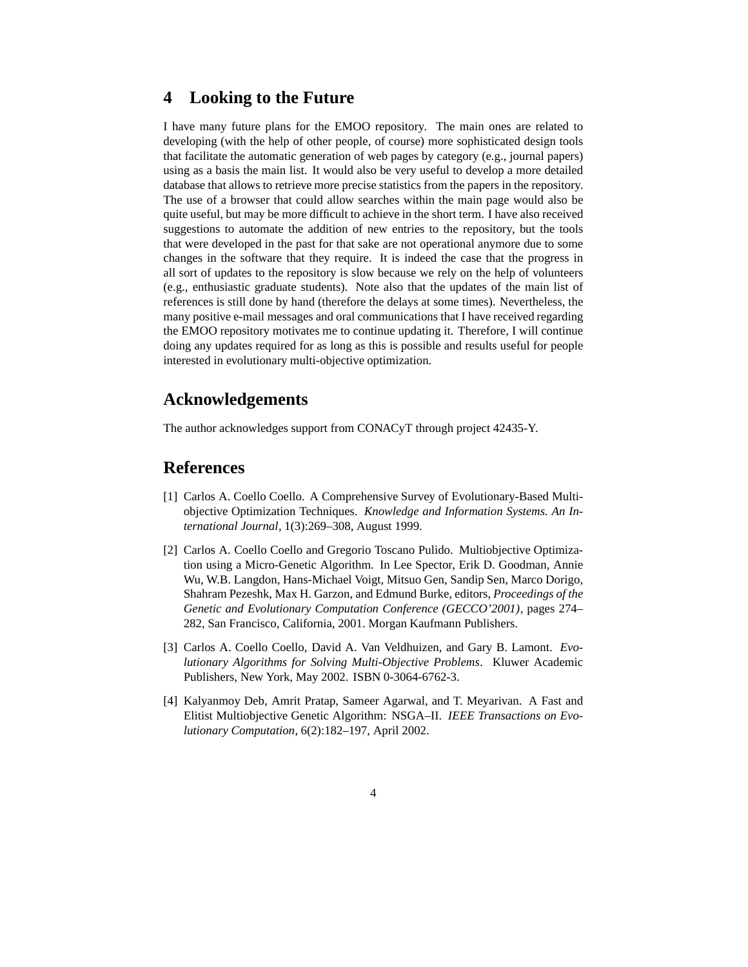#### **4 Looking to the Future**

I have many future plans for the EMOO repository. The main ones are related to developing (with the help of other people, of course) more sophisticated design tools that facilitate the automatic generation of web pages by category (e.g., journal papers) using as a basis the main list. It would also be very useful to develop a more detailed database that allows to retrieve more precise statistics from the papers in the repository. The use of a browser that could allow searches within the main page would also be quite useful, but may be more difficult to achieve in the short term. I have also received suggestions to automate the addition of new entries to the repository, but the tools that were developed in the past for that sake are not operational anymore due to some changes in the software that they require. It is indeed the case that the progress in all sort of updates to the repository is slow because we rely on the help of volunteers (e.g., enthusiastic graduate students). Note also that the updates of the main list of references is still done by hand (therefore the delays at some times). Nevertheless, the many positive e-mail messages and oral communications that I have received regarding the EMOO repository motivates me to continue updating it. Therefore, I will continue doing any updates required for as long as this is possible and results useful for people interested in evolutionary multi-objective optimization.

#### **Acknowledgements**

The author acknowledges support from CONACyT through project 42435-Y.

#### **References**

- [1] Carlos A. Coello Coello. A Comprehensive Survey of Evolutionary-Based Multiobjective Optimization Techniques. *Knowledge and Information Systems. An International Journal*, 1(3):269–308, August 1999.
- [2] Carlos A. Coello Coello and Gregorio Toscano Pulido. Multiobjective Optimization using a Micro-Genetic Algorithm. In Lee Spector, Erik D. Goodman, Annie Wu, W.B. Langdon, Hans-Michael Voigt, Mitsuo Gen, Sandip Sen, Marco Dorigo, Shahram Pezeshk, Max H. Garzon, and Edmund Burke, editors, *Proceedings of the Genetic and Evolutionary Computation Conference (GECCO'2001)*, pages 274– 282, San Francisco, California, 2001. Morgan Kaufmann Publishers.
- [3] Carlos A. Coello Coello, David A. Van Veldhuizen, and Gary B. Lamont. *Evolutionary Algorithms for Solving Multi-Objective Problems*. Kluwer Academic Publishers, New York, May 2002. ISBN 0-3064-6762-3.
- [4] Kalyanmoy Deb, Amrit Pratap, Sameer Agarwal, and T. Meyarivan. A Fast and Elitist Multiobjective Genetic Algorithm: NSGA–II. *IEEE Transactions on Evolutionary Computation*, 6(2):182–197, April 2002.